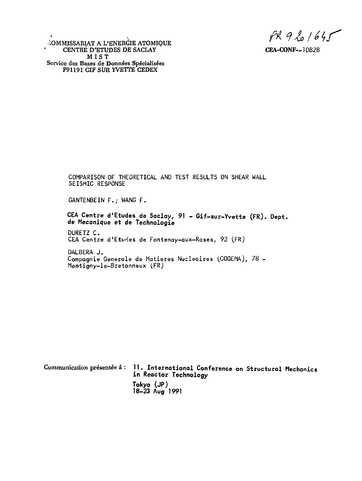$fR961645$ 

COMMISSARIAT A L'ENERGIE ATOMIQUE CENTRE D'ETUDES DE SACLAY CEA-CONF--10828 **MIS T Service des Bases de Données Spécialisées** F91191 GIF SUR YVETTE CEDEX

COMPARISON OF THEORETICAL AND TEST RESULTS ON SHEAR WALL SEISMIC RESPONSE

GANTENBEIN F./ WANG F.

CEA Centre d'Etudes de Saclay, 91 - Gif-sur-Yvette (FR). Dept. de Mecanique et de Technologie

DURETZ C. CEA Centre d'Etudes de Fontenay-aux-Roses, 92 (FR)

DALBERA J. Compagnie Generale de Matières Nucléaires (COGEMA), 78 -Montigny-le-Bretonneux (FR)

|  | Communication présentée à: 11. International Conference on Structural Mechanics<br>in Reactor Technology |  |
|--|----------------------------------------------------------------------------------------------------------|--|
|  | Tokyo (JP)<br>$18-23$ Aug $1991$                                                                         |  |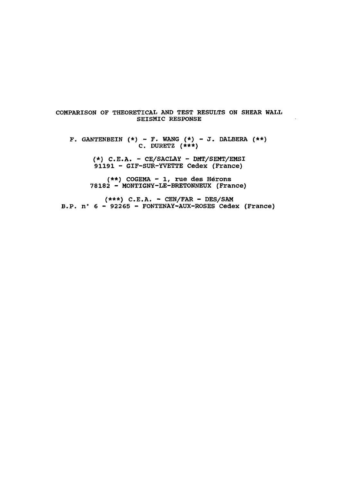# COMPARISON OF THEORETICAL AND TEST RESULTS ON SHEAR WALL SEISMIC RESPONSE

F. GANTENBEIN  $(*)$  - F. WANG  $(*)$  - J. DALBERA  $(**)$ C. DURETZ  $(\star \star \star)$ 

> $(*)$  C.E.A. - CE/SACLAY - DMT/SEMT/EMSI 91191 - GIF-SUR-YVETTE Cedex (France)

(\*\*) COGEMA - 1, rue des Hérons 78182 - MONTIGNY-LE-BRETONNEUX (France)

 $(***)$  C.E.A. - CEN/FAR - DES/SAM B.P. n° 6 - 92265 - FONTENAY-AUX-ROSES Cedex (France)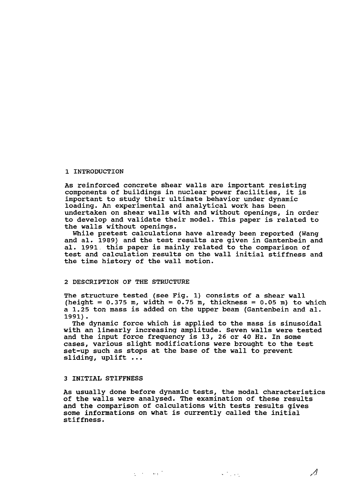# 1 INTRODUCTION

As reinforced concrete shear walls are important resisting components of buildings in nuclear power facilities, it is important to study their ultimate behavior under dynamic loading. An experimental and analytical work has been undertaken on shear walls with and without openings, in order to develop and validate their model. This paper is related to the walls without openings.

While pretest calculations have already been reported (Wang and al. 1989) and the test results are given in Gantenbein and al. 1991 this paper is mainly related to the comparison of test and calculation results on the wall initial stiffness and the time history of the wall motion.

# 2 DESCRIPTION OF THE STRUCTURE

The structure tested (see Fig. 1) consists of a shear wall (height =  $0.375$  m, width =  $0.75$  m, thickness =  $0.05$  m) to which a 1.25 ton mass is added on the upper beam (Gantenbein and al. 1991).

The dynamic force which is applied to the mass is sinusoidal with an linearly increasing amplitude. Seven walls were tested and the input force frequency is 13, 26 or 40 Hz. In some cases, various slight modifications were brought to the test set-up such as stops at the base of the wall to prevent sliding, uplift ...

### 3 INITIAL STIFFNESS

As usually done before dynamic tests, the modal characteristics of the walls were analysed. The examination of these results and the comparison of calculations with tests results gives some informations on what is currently called the initial stiffness.

Δ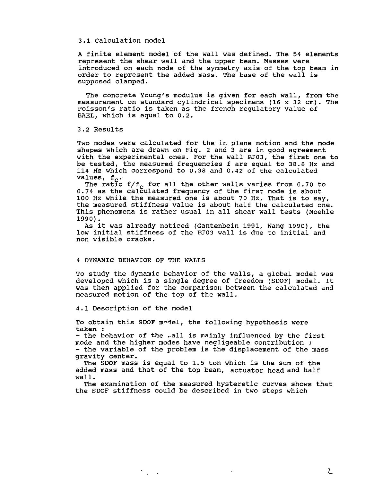## 3.1 Calculation model

A finite element model of the wall was defined. The 54 elements represent the shear wall and the upper beam. Masses were introduced on each node of the symmetry axis of the top beam in order to represent the added mass. The base of the wall is supposed clamped.

The concrete Young's modulus is given for each wall, from the measurement on standard cylindrical specimens (16 x 32 cm). The Poisson's ratio is taken as the french regulatory value of BAEL, which is equal to 0.2.

3.2 Results

Two modes were calculated for the in plane motion and the mode shapes which are drawn on Fig. 2 and 3 are in good agreement with the experimental ones. For the wall PJ03, the first one to be tested, the measured frequencies f are equal to 38.8 Hz and 114 Hz which correspond to 0.38 and 0.42 of the calculated values,  $f_c$ .

The ratio f/f<sub>c</sub> for all the other walls varies from 0.70 to 0.74 as the calculated frequency of the first mode is about 100 Hz while the measured one is about 70 Hz. That is to say, the measured stiffness value is about half the calculated one. This phenomena is rather usual in all shear wall tests (Moehle 1990).

As it was already noticed (Gantenbein 1991, Wang 1990), the low initial stiffness of the PJ03 wall is due to initial and non visible cracks.

# 4 DYNAMIC BEHAVIOR OF THE WALLS

To study the dynamic behavior of the walls, a global model was developed which is a single degree of freedom (SDOF) model. It was then applied for the comparison between the calculated and measured motion of the top of the wall.

4.1 Description of the model

 $\mathcal{F}_{\rm{max}}$  .

To obtain this SDOF model, the following hypothesis were taken :

- the behavior of the .all is mainly influenced by the first mode and the higher modes have negligeable contribution ; - the variable of the problem is the displacement of the mass gravity center.

The SDOF mass is equal to 1.5 ton which is the sum of the added mass and that of the top beam, actuator head and half wall.

The examination of the measured hysteretic curves shows that the SDOF stiffness could be described in two steps which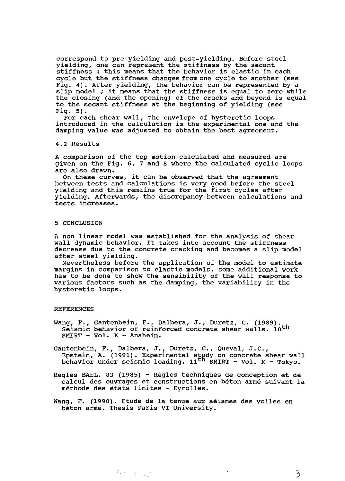correspond to pre-yielding and post-yielding. Before steel yielding, one can represent the stiffness by the secant stiffness : this means that the behavior is elastic in each cycle but the stiffness changes from one cycle to another (see Fig. 4). After yielding, the behavior can be represented by a slip model ; it means that the stiffness is equal to zero while the closing (and the opening) of the cracks and beyond is equal to the secant stiffness at the beginning of yielding (see Fig. 5).

For each shear wall, the envelope of hysteretic loops introduced in the calculation is the experimental one and the damping value was adjusted to obtain the best agreement.

4.2 Results

A comparison of the top motion calculated and measured are given on the Fig. 6, 7 and 8 where the calculated cyclic loops are also drawn.

On these curves, it can be observed that the agreement between tests and calculations is very good before the steel yielding and this remains true for the first cycles after yielding. Afterwards, the discrepancy between calculations and tests increases.

#### 5 CONCLUSION

A non linear model was established for the analysis of shear wall dynamic behavior. It takes into account the stiffness decrease due to the concrete cracking and becomes a slip model after steel yielding.

Nevertheless before the application of the model to estimate margins in comparison to elastic models, some additional work has to be done to show the sensibility of the wall response to various factors such as the damping, the variability in the hysteretic loops.

#### REFERENCES

- Wang, F., Gantenbein, F., Dalbera, J., Duretz, C. (1989). Seismic behavior of reinforced concrete shear walls. 10<sup>th</sup> SMIRT - Vol. K - Anaheim.
- Gantenbein, F., Dalbera, J., Duretz, C., Queval, J.C., Epstein, A. (1991). Experimental study on concrete shear wall behavior under seismic loading. 11<sup>th</sup> SMIRT - Vol. K - Tokyo.
- Règles BAEL. 83 (1985) Règles techniques de conception et de calcul des ouvrages et constructions en béton armé suivant la méthode des états limites - Eyrolles.
- Wang, F. (1990). Etude de la tenue aux séismes des voiles en béton armé. Thesis Paris VI University.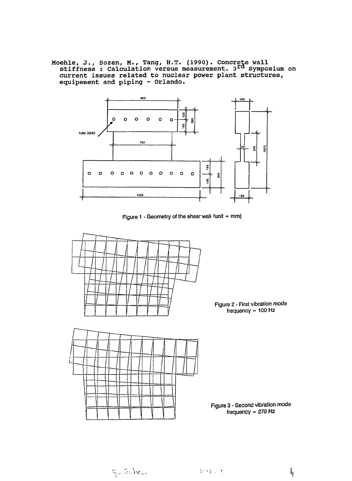Moehle, J., Sozen, M., Tang, H.T. (1990). Concrete wall stiffness : Calculation versus measurement. 3<sup>rd</sup> Symposium on current issues related to nuclear power plant structures, equipement and piping - Orlando.







 $\mathbb{Q}_{\mu\nu}$  (reduces

l<sub>g</sub>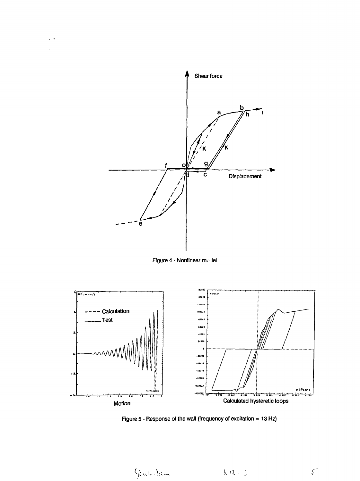





Figure 5 - Response of the wall (frequency of excitation = 13 Hz)

Gate James 長度にる

 $\sqrt{ }$